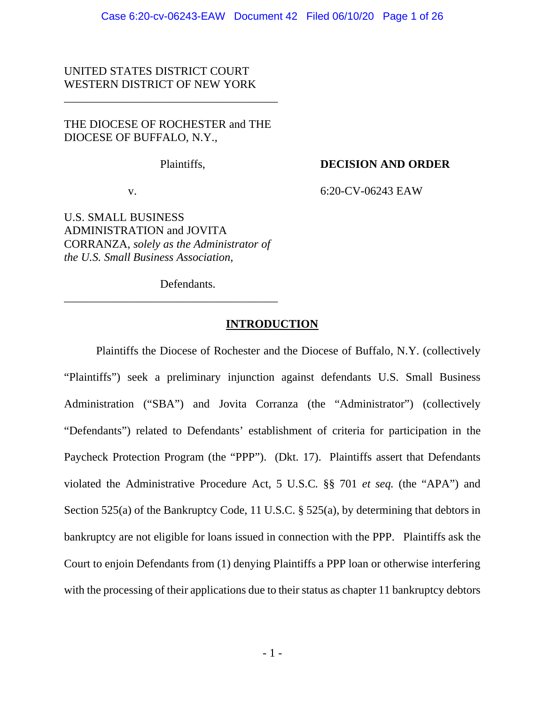# UNITED STATES DISTRICT COURT WESTERN DISTRICT OF NEW YORK

# THE DIOCESE OF ROCHESTER and THE DIOCESE OF BUFFALO, N.Y.,

\_\_\_\_\_\_\_\_\_\_\_\_\_\_\_\_\_\_\_\_\_\_\_\_\_\_\_\_\_\_\_\_\_\_\_\_\_

# Plaintiffs, **DECISION AND ORDER**

v. 6:20-CV-06243 EAW

U.S. SMALL BUSINESS ADMINISTRATION and JOVITA CORRANZA, *solely as the Administrator of the U.S. Small Business Association*,

\_\_\_\_\_\_\_\_\_\_\_\_\_\_\_\_\_\_\_\_\_\_\_\_\_\_\_\_\_\_\_\_\_\_\_\_\_

Defendants.

# **INTRODUCTION**

 Plaintiffs the Diocese of Rochester and the Diocese of Buffalo, N.Y. (collectively "Plaintiffs") seek a preliminary injunction against defendants U.S. Small Business Administration ("SBA") and Jovita Corranza (the "Administrator") (collectively "Defendants") related to Defendants' establishment of criteria for participation in the Paycheck Protection Program (the "PPP"). (Dkt. 17). Plaintiffs assert that Defendants violated the Administrative Procedure Act, 5 U.S.C. §§ 701 *et seq.* (the "APA") and Section 525(a) of the Bankruptcy Code, 11 U.S.C. § 525(a), by determining that debtors in bankruptcy are not eligible for loans issued in connection with the PPP. Plaintiffs ask the Court to enjoin Defendants from (1) denying Plaintiffs a PPP loan or otherwise interfering with the processing of their applications due to their status as chapter 11 bankruptcy debtors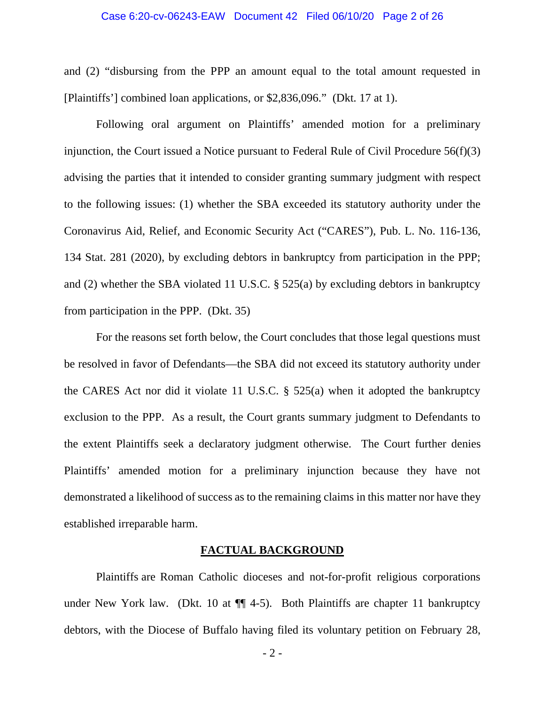#### Case 6:20-cv-06243-EAW Document 42 Filed 06/10/20 Page 2 of 26

and (2) "disbursing from the PPP an amount equal to the total amount requested in [Plaintiffs'] combined loan applications, or \$2,836,096." (Dkt. 17 at 1).

 Following oral argument on Plaintiffs' amended motion for a preliminary injunction, the Court issued a Notice pursuant to Federal Rule of Civil Procedure 56(f)(3) advising the parties that it intended to consider granting summary judgment with respect to the following issues: (1) whether the SBA exceeded its statutory authority under the Coronavirus Aid, Relief, and Economic Security Act ("CARES"), Pub. L. No. 116-136, 134 Stat. 281 (2020), by excluding debtors in bankruptcy from participation in the PPP; and (2) whether the SBA violated 11 U.S.C. § 525(a) by excluding debtors in bankruptcy from participation in the PPP. (Dkt. 35)

For the reasons set forth below, the Court concludes that those legal questions must be resolved in favor of Defendants—the SBA did not exceed its statutory authority under the CARES Act nor did it violate 11 U.S.C. § 525(a) when it adopted the bankruptcy exclusion to the PPP. As a result, the Court grants summary judgment to Defendants to the extent Plaintiffs seek a declaratory judgment otherwise. The Court further denies Plaintiffs' amended motion for a preliminary injunction because they have not demonstrated a likelihood of success as to the remaining claims in this matter nor have they established irreparable harm.

### **FACTUAL BACKGROUND**

 Plaintiffs are Roman Catholic dioceses and not-for-profit religious corporations under New York law. (Dkt. 10 at  $\P$  4-5). Both Plaintiffs are chapter 11 bankruptcy debtors, with the Diocese of Buffalo having filed its voluntary petition on February 28,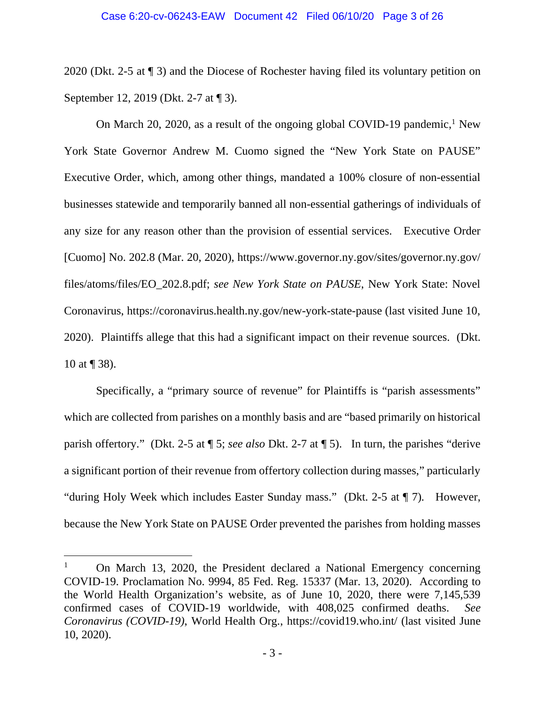#### Case 6:20-cv-06243-EAW Document 42 Filed 06/10/20 Page 3 of 26

2020 (Dkt. 2-5 at ¶ 3) and the Diocese of Rochester having filed its voluntary petition on September 12, 2019 (Dkt. 2-7 at ¶ 3).

On March 20, 2020, as a result of the ongoing global COVID-19 pandemic,<sup>1</sup> New York State Governor Andrew M. Cuomo signed the "New York State on PAUSE" Executive Order, which, among other things, mandated a 100% closure of non-essential businesses statewide and temporarily banned all non-essential gatherings of individuals of any size for any reason other than the provision of essential services. Executive Order [Cuomo] No. 202.8 (Mar. 20, 2020), https://www.governor.ny.gov/sites/governor.ny.gov/ files/atoms/files/EO\_202.8.pdf; *see New York State on PAUSE*, New York State: Novel Coronavirus, https://coronavirus.health.ny.gov/new-york-state-pause (last visited June 10, 2020). Plaintiffs allege that this had a significant impact on their revenue sources. (Dkt. 10 at ¶ 38).

 Specifically, a "primary source of revenue" for Plaintiffs is "parish assessments" which are collected from parishes on a monthly basis and are "based primarily on historical parish offertory." (Dkt. 2-5 at ¶ 5; *see also* Dkt. 2-7 at ¶ 5). In turn, the parishes "derive a significant portion of their revenue from offertory collection during masses," particularly "during Holy Week which includes Easter Sunday mass." (Dkt. 2-5 at ¶ 7). However, because the New York State on PAUSE Order prevented the parishes from holding masses

<sup>1</sup> On March 13, 2020, the President declared a National Emergency concerning COVID-19. Proclamation No. 9994, 85 Fed. Reg. 15337 (Mar. 13, 2020). According to the World Health Organization's website, as of June 10, 2020, there were 7,145,539 confirmed cases of COVID-19 worldwide, with 408,025 confirmed deaths. *See Coronavirus (COVID-19)*, World Health Org., https://covid19.who.int/ (last visited June 10, 2020).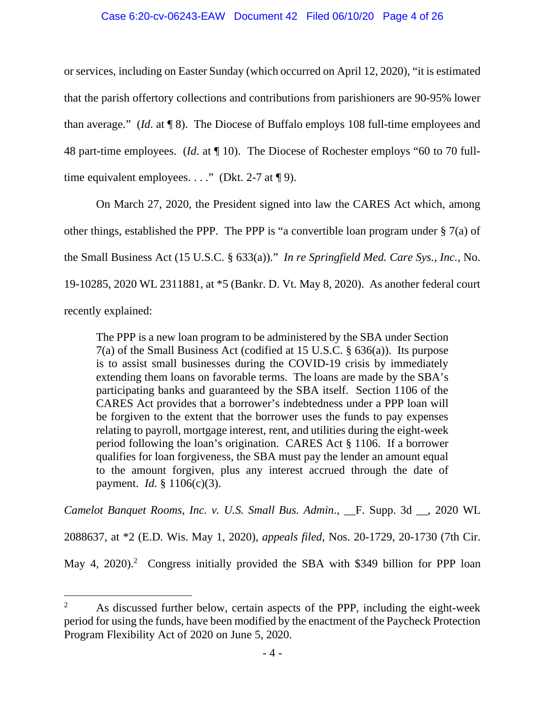# Case 6:20-cv-06243-EAW Document 42 Filed 06/10/20 Page 4 of 26

or services, including on Easter Sunday (which occurred on April 12, 2020), "it is estimated that the parish offertory collections and contributions from parishioners are 90-95% lower than average." (*Id*. at ¶ 8). The Diocese of Buffalo employs 108 full-time employees and 48 part-time employees. (*Id*. at ¶ 10). The Diocese of Rochester employs "60 to 70 fulltime equivalent employees. . . ." (Dkt. 2-7 at  $\P$  9).

 On March 27, 2020, the President signed into law the CARES Act which, among other things, established the PPP. The PPP is "a convertible loan program under § 7(a) of the Small Business Act (15 U.S.C. § 633(a))." *In re Springfield Med. Care Sys., Inc.*, No. 19-10285, 2020 WL 2311881, at \*5 (Bankr. D. Vt. May 8, 2020). As another federal court recently explained:

The PPP is a new loan program to be administered by the SBA under Section 7(a) of the Small Business Act (codified at 15 U.S.C. § 636(a)). Its purpose is to assist small businesses during the COVID-19 crisis by immediately extending them loans on favorable terms. The loans are made by the SBA's participating banks and guaranteed by the SBA itself. Section 1106 of the CARES Act provides that a borrower's indebtedness under a PPP loan will be forgiven to the extent that the borrower uses the funds to pay expenses relating to payroll, mortgage interest, rent, and utilities during the eight-week period following the loan's origination. CARES Act § 1106. If a borrower qualifies for loan forgiveness, the SBA must pay the lender an amount equal to the amount forgiven, plus any interest accrued through the date of payment. *Id.* § 1106(c)(3).

*Camelot Banquet Rooms, Inc. v. U.S. Small Bus. Admin*., \_\_F. Supp. 3d \_\_, 2020 WL

2088637, at \*2 (E.D. Wis. May 1, 2020), *appeals filed*, Nos. 20-1729, 20-1730 (7th Cir.

May 4, 2020).<sup>2</sup> Congress initially provided the SBA with \$349 billion for PPP loan

<sup>2</sup> As discussed further below, certain aspects of the PPP, including the eight-week period for using the funds, have been modified by the enactment of the Paycheck Protection Program Flexibility Act of 2020 on June 5, 2020.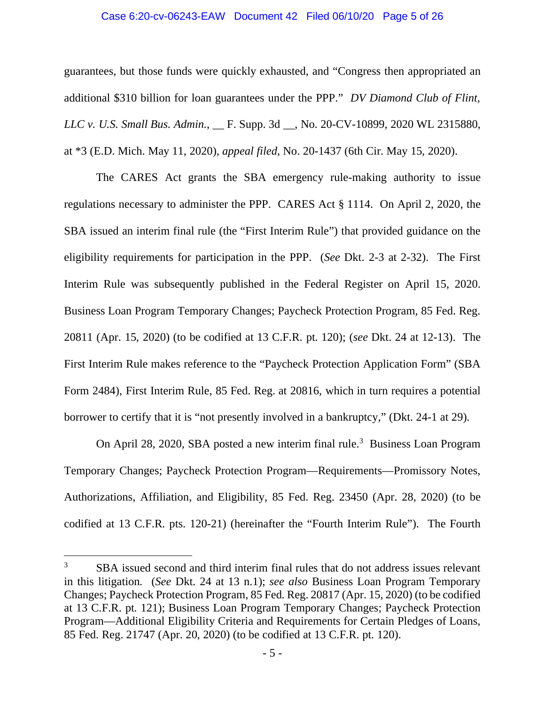#### Case 6:20-cv-06243-EAW Document 42 Filed 06/10/20 Page 5 of 26

guarantees, but those funds were quickly exhausted, and "Congress then appropriated an additional \$310 billion for loan guarantees under the PPP." *DV Diamond Club of Flint, LLC v. U.S. Small Bus. Admin*., \_\_ F. Supp. 3d \_\_, No. 20-CV-10899, 2020 WL 2315880, at \*3 (E.D. Mich. May 11, 2020), *appeal filed*, No. 20-1437 (6th Cir. May 15, 2020).

The CARES Act grants the SBA emergency rule-making authority to issue regulations necessary to administer the PPP. CARES Act § 1114. On April 2, 2020, the SBA issued an interim final rule (the "First Interim Rule") that provided guidance on the eligibility requirements for participation in the PPP. (*See* Dkt. 2-3 at 2-32). The First Interim Rule was subsequently published in the Federal Register on April 15, 2020. Business Loan Program Temporary Changes; Paycheck Protection Program, 85 Fed. Reg. 20811 (Apr. 15, 2020) (to be codified at 13 C.F.R. pt. 120); (*see* Dkt. 24 at 12-13). The First Interim Rule makes reference to the "Paycheck Protection Application Form" (SBA Form 2484), First Interim Rule, 85 Fed. Reg. at 20816, which in turn requires a potential borrower to certify that it is "not presently involved in a bankruptcy," (Dkt. 24-1 at 29).

On April 28, 2020, SBA posted a new interim final rule.<sup>3</sup> Business Loan Program Temporary Changes; Paycheck Protection Program—Requirements—Promissory Notes, Authorizations, Affiliation, and Eligibility, 85 Fed. Reg. 23450 (Apr. 28, 2020) (to be codified at 13 C.F.R. pts. 120-21) (hereinafter the "Fourth Interim Rule"). The Fourth

<sup>3</sup> SBA issued second and third interim final rules that do not address issues relevant in this litigation*.* (*See* Dkt. 24 at 13 n.1); *see also* Business Loan Program Temporary Changes; Paycheck Protection Program, 85 Fed. Reg. 20817 (Apr. 15, 2020) (to be codified at 13 C.F.R. pt. 121); Business Loan Program Temporary Changes; Paycheck Protection Program—Additional Eligibility Criteria and Requirements for Certain Pledges of Loans, 85 Fed. Reg. 21747 (Apr. 20, 2020) (to be codified at 13 C.F.R. pt. 120).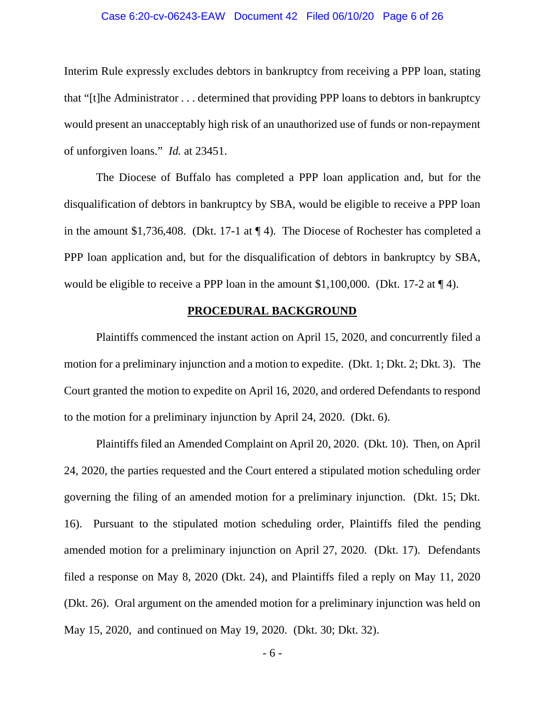# Case 6:20-cv-06243-EAW Document 42 Filed 06/10/20 Page 6 of 26

Interim Rule expressly excludes debtors in bankruptcy from receiving a PPP loan, stating that "[t]he Administrator . . . determined that providing PPP loans to debtors in bankruptcy would present an unacceptably high risk of an unauthorized use of funds or non-repayment of unforgiven loans." *Id.* at 23451.

The Diocese of Buffalo has completed a PPP loan application and, but for the disqualification of debtors in bankruptcy by SBA, would be eligible to receive a PPP loan in the amount \$1,736,408. (Dkt. 17-1 at ¶ 4). The Diocese of Rochester has completed a PPP loan application and, but for the disqualification of debtors in bankruptcy by SBA, would be eligible to receive a PPP loan in the amount \$1,100,000. (Dkt. 17-2 at ¶ 4).

# **PROCEDURAL BACKGROUND**

 Plaintiffs commenced the instant action on April 15, 2020, and concurrently filed a motion for a preliminary injunction and a motion to expedite. (Dkt. 1; Dkt. 2; Dkt. 3). The Court granted the motion to expedite on April 16, 2020, and ordered Defendants to respond to the motion for a preliminary injunction by April 24, 2020. (Dkt. 6).

 Plaintiffs filed an Amended Complaint on April 20, 2020. (Dkt. 10). Then, on April 24, 2020, the parties requested and the Court entered a stipulated motion scheduling order governing the filing of an amended motion for a preliminary injunction. (Dkt. 15; Dkt. 16). Pursuant to the stipulated motion scheduling order, Plaintiffs filed the pending amended motion for a preliminary injunction on April 27, 2020. (Dkt. 17). Defendants filed a response on May 8, 2020 (Dkt. 24), and Plaintiffs filed a reply on May 11, 2020 (Dkt. 26). Oral argument on the amended motion for a preliminary injunction was held on May 15, 2020, and continued on May 19, 2020. (Dkt. 30; Dkt. 32).

- 6 -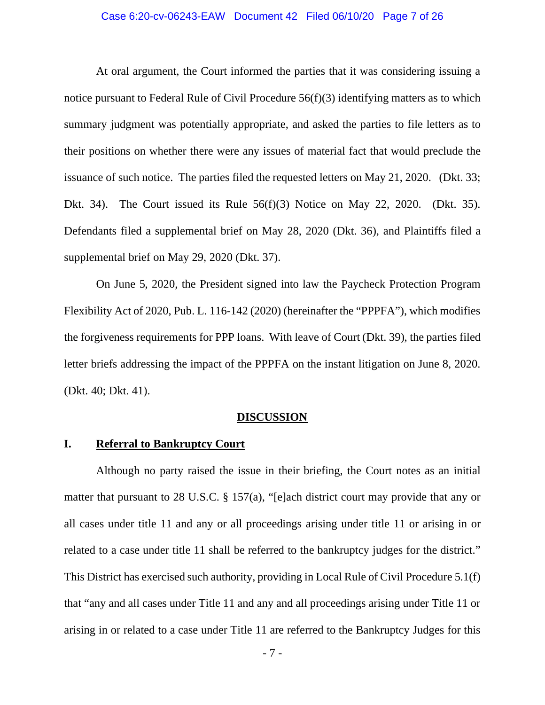#### Case 6:20-cv-06243-EAW Document 42 Filed 06/10/20 Page 7 of 26

At oral argument, the Court informed the parties that it was considering issuing a notice pursuant to Federal Rule of Civil Procedure 56(f)(3) identifying matters as to which summary judgment was potentially appropriate, and asked the parties to file letters as to their positions on whether there were any issues of material fact that would preclude the issuance of such notice. The parties filed the requested letters on May 21, 2020. (Dkt. 33; Dkt. 34). The Court issued its Rule 56(f)(3) Notice on May 22, 2020. (Dkt. 35). Defendants filed a supplemental brief on May 28, 2020 (Dkt. 36), and Plaintiffs filed a supplemental brief on May 29, 2020 (Dkt. 37).

On June 5, 2020, the President signed into law the Paycheck Protection Program Flexibility Act of 2020, Pub. L. 116-142 (2020) (hereinafter the "PPPFA"), which modifies the forgiveness requirements for PPP loans. With leave of Court (Dkt. 39), the parties filed letter briefs addressing the impact of the PPPFA on the instant litigation on June 8, 2020. (Dkt. 40; Dkt. 41).

### **DISCUSSION**

## **I. Referral to Bankruptcy Court**

Although no party raised the issue in their briefing, the Court notes as an initial matter that pursuant to 28 U.S.C. § 157(a), "[e]ach district court may provide that any or all cases under title 11 and any or all proceedings arising under title 11 or arising in or related to a case under title 11 shall be referred to the bankruptcy judges for the district." This District has exercised such authority, providing in Local Rule of Civil Procedure 5.1(f) that "any and all cases under Title 11 and any and all proceedings arising under Title 11 or arising in or related to a case under Title 11 are referred to the Bankruptcy Judges for this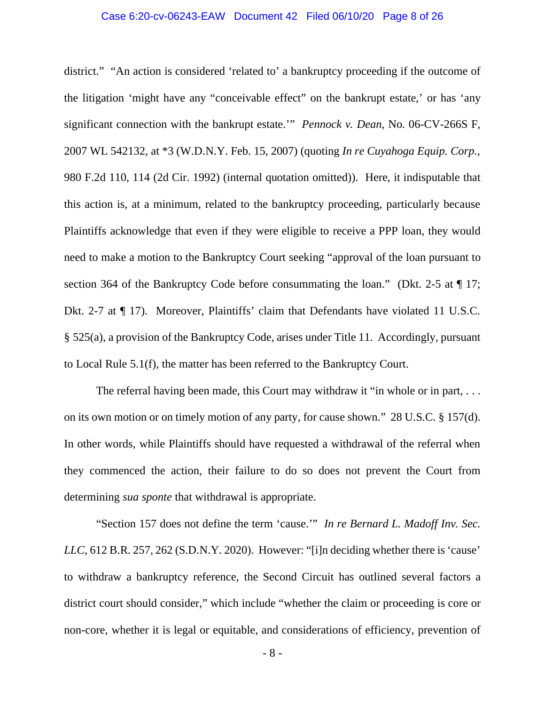# Case 6:20-cv-06243-EAW Document 42 Filed 06/10/20 Page 8 of 26

district." "An action is considered 'related to' a bankruptcy proceeding if the outcome of the litigation 'might have any "conceivable effect" on the bankrupt estate,' or has 'any significant connection with the bankrupt estate.'" *Pennock v. Dean*, No. 06-CV-266S F, 2007 WL 542132, at \*3 (W.D.N.Y. Feb. 15, 2007) (quoting *In re Cuyahoga Equip. Corp.*, 980 F.2d 110, 114 (2d Cir. 1992) (internal quotation omitted)). Here, it indisputable that this action is, at a minimum, related to the bankruptcy proceeding, particularly because Plaintiffs acknowledge that even if they were eligible to receive a PPP loan, they would need to make a motion to the Bankruptcy Court seeking "approval of the loan pursuant to section 364 of the Bankruptcy Code before consummating the loan." (Dkt. 2-5 at  $\P$  17; Dkt. 2-7 at ¶ 17). Moreover, Plaintiffs' claim that Defendants have violated 11 U.S.C. § 525(a), a provision of the Bankruptcy Code, arises under Title 11. Accordingly, pursuant to Local Rule 5.1(f), the matter has been referred to the Bankruptcy Court.

The referral having been made, this Court may withdraw it "in whole or in part, ... on its own motion or on timely motion of any party, for cause shown." 28 U.S.C. § 157(d). In other words, while Plaintiffs should have requested a withdrawal of the referral when they commenced the action, their failure to do so does not prevent the Court from determining *sua sponte* that withdrawal is appropriate.

"Section 157 does not define the term 'cause.'" *In re Bernard L. Madoff Inv. Sec. LLC*, 612 B.R. 257, 262 (S.D.N.Y. 2020). However: "[i]n deciding whether there is 'cause' to withdraw a bankruptcy reference, the Second Circuit has outlined several factors a district court should consider," which include "whether the claim or proceeding is core or non-core, whether it is legal or equitable, and considerations of efficiency, prevention of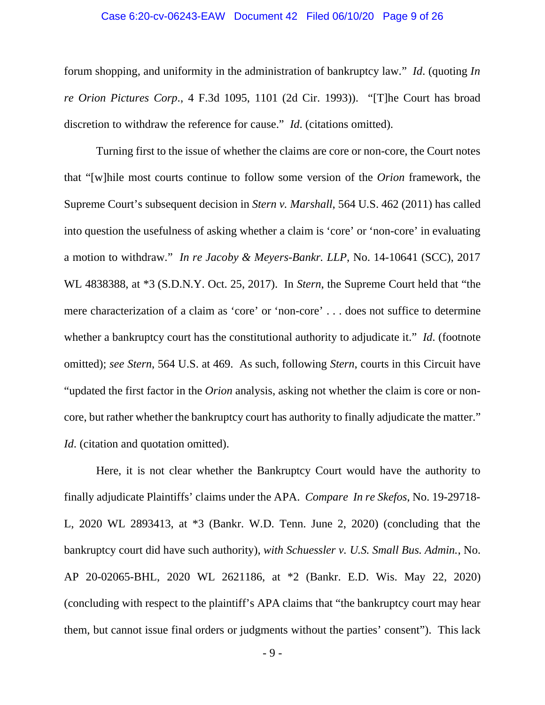## Case 6:20-cv-06243-EAW Document 42 Filed 06/10/20 Page 9 of 26

forum shopping, and uniformity in the administration of bankruptcy law." *Id*. (quoting *In re Orion Pictures Corp*., 4 F.3d 1095, 1101 (2d Cir. 1993)). "[T]he Court has broad discretion to withdraw the reference for cause." *Id*. (citations omitted).

 Turning first to the issue of whether the claims are core or non-core, the Court notes that "[w]hile most courts continue to follow some version of the *Orion* framework, the Supreme Court's subsequent decision in *Stern v. Marshall*, 564 U.S. 462 (2011) has called into question the usefulness of asking whether a claim is 'core' or 'non-core' in evaluating a motion to withdraw." *In re Jacoby & Meyers-Bankr. LLP*, No. 14-10641 (SCC), 2017 WL 4838388, at \*3 (S.D.N.Y. Oct. 25, 2017). In *Stern*, the Supreme Court held that "the mere characterization of a claim as 'core' or 'non-core' . . . does not suffice to determine whether a bankruptcy court has the constitutional authority to adjudicate it." *Id*. (footnote omitted); *see Stern*, 564 U.S. at 469. As such, following *Stern*, courts in this Circuit have "updated the first factor in the *Orion* analysis, asking not whether the claim is core or noncore, but rather whether the bankruptcy court has authority to finally adjudicate the matter." *Id.* (citation and quotation omitted).

 Here, it is not clear whether the Bankruptcy Court would have the authority to finally adjudicate Plaintiffs' claims under the APA. *Compare In re Skefos*, No. 19-29718- L, 2020 WL 2893413, at \*3 (Bankr. W.D. Tenn. June 2, 2020) (concluding that the bankruptcy court did have such authority), *with Schuessler v. U.S. Small Bus. Admin.*, No. AP 20-02065-BHL, 2020 WL 2621186, at \*2 (Bankr. E.D. Wis. May 22, 2020) (concluding with respect to the plaintiff's APA claims that "the bankruptcy court may hear them, but cannot issue final orders or judgments without the parties' consent"). This lack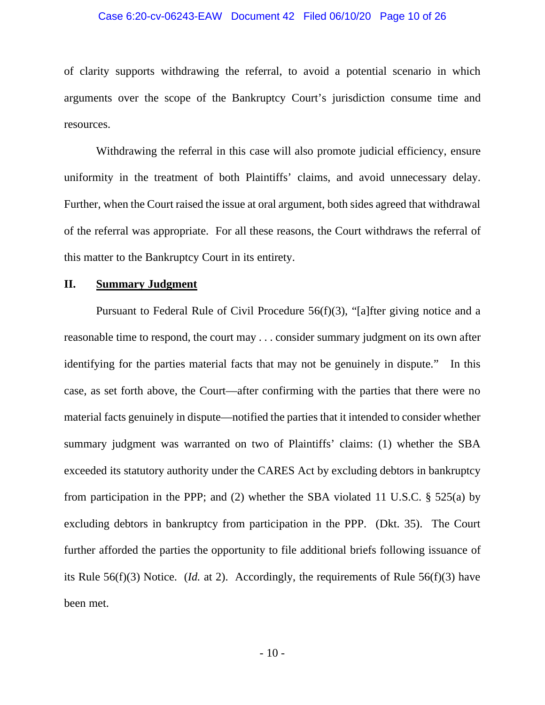#### Case 6:20-cv-06243-EAW Document 42 Filed 06/10/20 Page 10 of 26

of clarity supports withdrawing the referral, to avoid a potential scenario in which arguments over the scope of the Bankruptcy Court's jurisdiction consume time and resources.

 Withdrawing the referral in this case will also promote judicial efficiency, ensure uniformity in the treatment of both Plaintiffs' claims, and avoid unnecessary delay. Further, when the Court raised the issue at oral argument, both sides agreed that withdrawal of the referral was appropriate. For all these reasons, the Court withdraws the referral of this matter to the Bankruptcy Court in its entirety.

# **II. Summary Judgment**

 Pursuant to Federal Rule of Civil Procedure 56(f)(3), "[a]fter giving notice and a reasonable time to respond, the court may . . . consider summary judgment on its own after identifying for the parties material facts that may not be genuinely in dispute." In this case, as set forth above, the Court—after confirming with the parties that there were no material facts genuinely in dispute—notified the parties that it intended to consider whether summary judgment was warranted on two of Plaintiffs' claims: (1) whether the SBA exceeded its statutory authority under the CARES Act by excluding debtors in bankruptcy from participation in the PPP; and (2) whether the SBA violated 11 U.S.C. § 525(a) by excluding debtors in bankruptcy from participation in the PPP. (Dkt. 35). The Court further afforded the parties the opportunity to file additional briefs following issuance of its Rule 56(f)(3) Notice. (*Id.* at 2). Accordingly, the requirements of Rule 56(f)(3) have been met.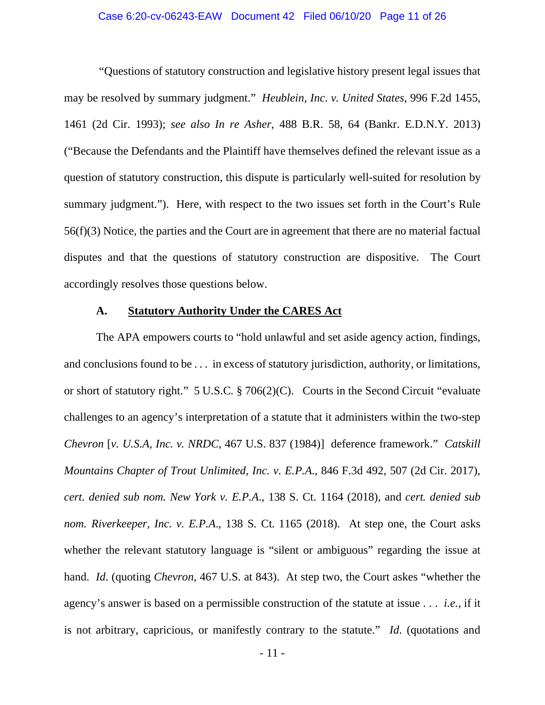# Case 6:20-cv-06243-EAW Document 42 Filed 06/10/20 Page 11 of 26

 "Questions of statutory construction and legislative history present legal issues that may be resolved by summary judgment." *Heublein, Inc. v. United States*, 996 F.2d 1455, 1461 (2d Cir. 1993); *see also In re Asher*, 488 B.R. 58, 64 (Bankr. E.D.N.Y. 2013) ("Because the Defendants and the Plaintiff have themselves defined the relevant issue as a question of statutory construction, this dispute is particularly well-suited for resolution by summary judgment."). Here, with respect to the two issues set forth in the Court's Rule 56(f)(3) Notice, the parties and the Court are in agreement that there are no material factual disputes and that the questions of statutory construction are dispositive. The Court accordingly resolves those questions below.

# **A. Statutory Authority Under the CARES Act**

The APA empowers courts to "hold unlawful and set aside agency action, findings, and conclusions found to be . . . in excess of statutory jurisdiction, authority, or limitations, or short of statutory right." 5 U.S.C. § 706(2)(C). Courts in the Second Circuit "evaluate challenges to an agency's interpretation of a statute that it administers within the two-step *Chevron* [*v. U.S.A, Inc. v. NRDC*, 467 U.S. 837 (1984)] deference framework." *Catskill Mountains Chapter of Trout Unlimited, Inc. v. E.P.A.*, 846 F.3d 492, 507 (2d Cir. 2017), *cert. denied sub nom. New York v. E.P.A*., 138 S. Ct. 1164 (2018), and *cert. denied sub nom. Riverkeeper, Inc. v. E.P.A*., 138 S. Ct. 1165 (2018). At step one, the Court asks whether the relevant statutory language is "silent or ambiguous" regarding the issue at hand. *Id*. (quoting *Chevron*, 467 U.S. at 843). At step two, the Court askes "whether the agency's answer is based on a permissible construction of the statute at issue . . . *i.e.*, if it is not arbitrary, capricious, or manifestly contrary to the statute." *Id*. (quotations and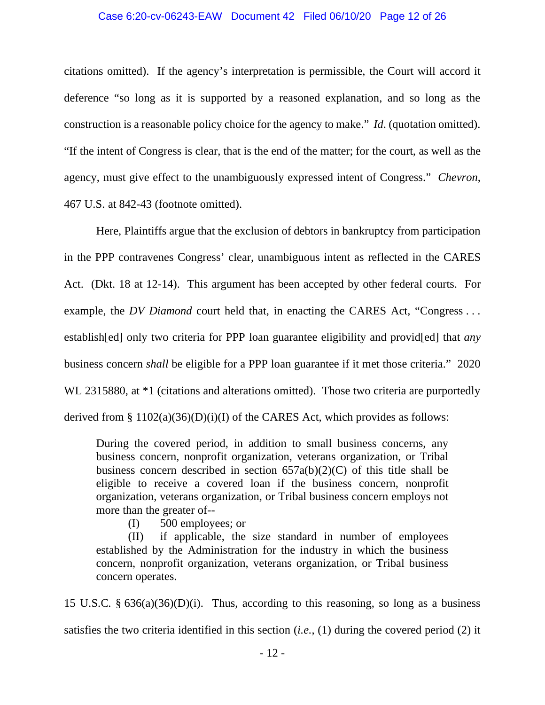#### Case 6:20-cv-06243-EAW Document 42 Filed 06/10/20 Page 12 of 26

citations omitted). If the agency's interpretation is permissible, the Court will accord it deference "so long as it is supported by a reasoned explanation, and so long as the construction is a reasonable policy choice for the agency to make." *Id*. (quotation omitted). "If the intent of Congress is clear, that is the end of the matter; for the court, as well as the agency, must give effect to the unambiguously expressed intent of Congress." *Chevron*, 467 U.S. at 842-43 (footnote omitted).

 Here, Plaintiffs argue that the exclusion of debtors in bankruptcy from participation in the PPP contravenes Congress' clear, unambiguous intent as reflected in the CARES Act. (Dkt. 18 at 12-14). This argument has been accepted by other federal courts. For example, the *DV Diamond* court held that, in enacting the CARES Act, "Congress ... establish[ed] only two criteria for PPP loan guarantee eligibility and provid[ed] that *any* business concern *shall* be eligible for a PPP loan guarantee if it met those criteria." 2020 WL 2315880, at  $*1$  (citations and alterations omitted). Those two criteria are purportedly derived from § 1102(a)(36)(D)(i)(I) of the CARES Act, which provides as follows:

During the covered period, in addition to small business concerns, any business concern, nonprofit organization, veterans organization, or Tribal business concern described in section  $657a(b)(2)(C)$  of this title shall be eligible to receive a covered loan if the business concern, nonprofit organization, veterans organization, or Tribal business concern employs not more than the greater of--

(I) 500 employees; or

(II) if applicable, the size standard in number of employees established by the Administration for the industry in which the business concern, nonprofit organization, veterans organization, or Tribal business concern operates.

15 U.S.C. § 636(a)(36)(D)(i). Thus, according to this reasoning, so long as a business satisfies the two criteria identified in this section (*i.e.*, (1) during the covered period (2) it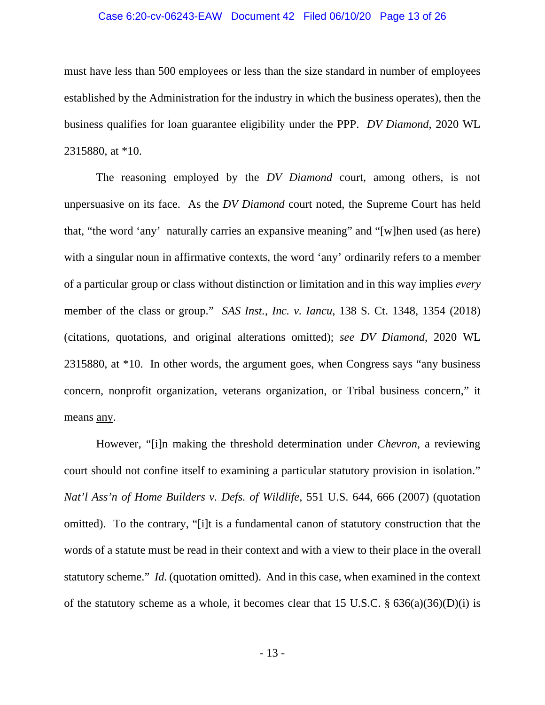# Case 6:20-cv-06243-EAW Document 42 Filed 06/10/20 Page 13 of 26

must have less than 500 employees or less than the size standard in number of employees established by the Administration for the industry in which the business operates), then the business qualifies for loan guarantee eligibility under the PPP. *DV Diamond*, 2020 WL 2315880, at \*10.

 The reasoning employed by the *DV Diamond* court, among others, is not unpersuasive on its face. As the *DV Diamond* court noted, the Supreme Court has held that, "the word 'any' naturally carries an expansive meaning" and "[w]hen used (as here) with a singular noun in affirmative contexts, the word 'any' ordinarily refers to a member of a particular group or class without distinction or limitation and in this way implies *every* member of the class or group." *SAS Inst., Inc. v. Iancu*, 138 S. Ct. 1348, 1354 (2018) (citations, quotations, and original alterations omitted); *see DV Diamond*, 2020 WL 2315880, at \*10. In other words, the argument goes, when Congress says "any business concern, nonprofit organization, veterans organization, or Tribal business concern," it means any.

 However, "[i]n making the threshold determination under *Chevron*, a reviewing court should not confine itself to examining a particular statutory provision in isolation." *Nat'l Ass'n of Home Builders v. Defs. of Wildlife*, 551 U.S. 644, 666 (2007) (quotation omitted). To the contrary, "[i]t is a fundamental canon of statutory construction that the words of a statute must be read in their context and with a view to their place in the overall statutory scheme." *Id*. (quotation omitted). And in this case, when examined in the context of the statutory scheme as a whole, it becomes clear that 15 U.S.C.  $\S$  636(a)(36)(D)(i) is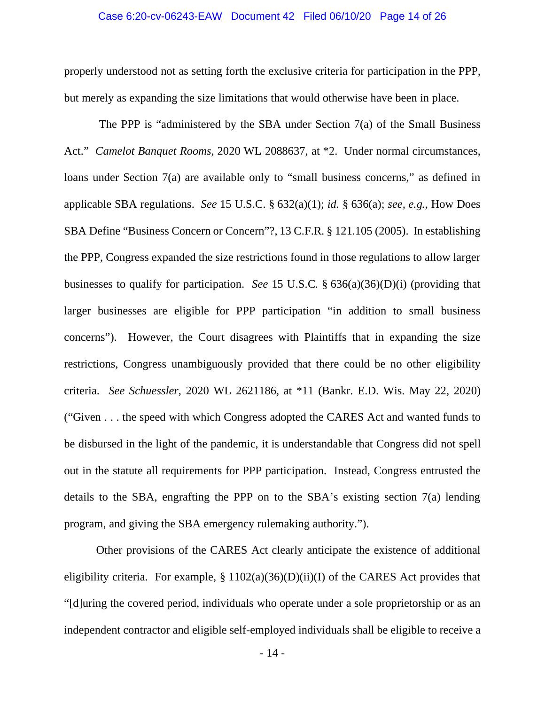## Case 6:20-cv-06243-EAW Document 42 Filed 06/10/20 Page 14 of 26

properly understood not as setting forth the exclusive criteria for participation in the PPP, but merely as expanding the size limitations that would otherwise have been in place.

 The PPP is "administered by the SBA under Section 7(a) of the Small Business Act." *Camelot Banquet Rooms*, 2020 WL 2088637, at \*2. Under normal circumstances, loans under Section 7(a) are available only to "small business concerns," as defined in applicable SBA regulations. *See* 15 U.S.C. § 632(a)(1); *id.* § 636(a); *see, e.g.*, How Does SBA Define "Business Concern or Concern"?, 13 C.F.R. § 121.105 (2005). In establishing the PPP, Congress expanded the size restrictions found in those regulations to allow larger businesses to qualify for participation. *See* 15 U.S.C. § 636(a)(36)(D)(i) (providing that larger businesses are eligible for PPP participation "in addition to small business concerns"). However, the Court disagrees with Plaintiffs that in expanding the size restrictions, Congress unambiguously provided that there could be no other eligibility criteria. *See Schuessler*, 2020 WL 2621186, at \*11 (Bankr. E.D. Wis. May 22, 2020) ("Given . . . the speed with which Congress adopted the CARES Act and wanted funds to be disbursed in the light of the pandemic, it is understandable that Congress did not spell out in the statute all requirements for PPP participation. Instead, Congress entrusted the details to the SBA, engrafting the PPP on to the SBA's existing section 7(a) lending program, and giving the SBA emergency rulemaking authority.").

 Other provisions of the CARES Act clearly anticipate the existence of additional eligibility criteria. For example,  $\S 1102(a)(36)(D)(ii)(I)$  of the CARES Act provides that "[d]uring the covered period, individuals who operate under a sole proprietorship or as an independent contractor and eligible self-employed individuals shall be eligible to receive a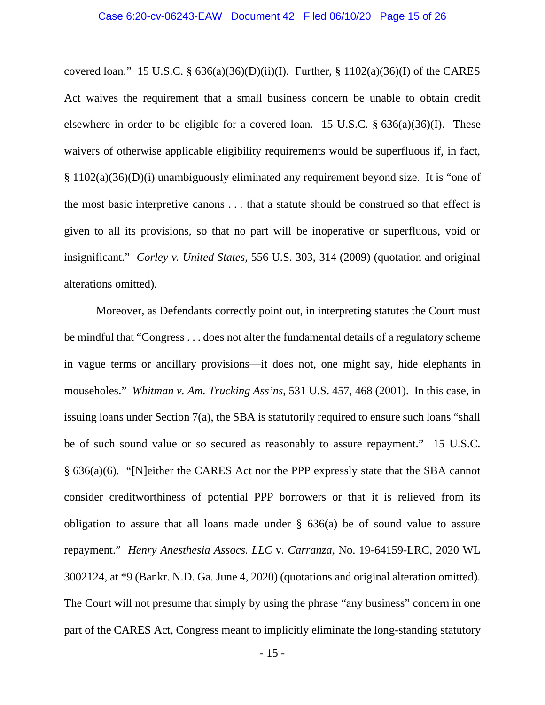covered loan." 15 U.S.C.  $\S$  636(a)(36)(D)(ii)(I). Further,  $\S$  1102(a)(36)(I) of the CARES Act waives the requirement that a small business concern be unable to obtain credit elsewhere in order to be eligible for a covered loan. 15 U.S.C. § 636(a)(36)(I). These waivers of otherwise applicable eligibility requirements would be superfluous if, in fact, § 1102(a)(36)(D)(i) unambiguously eliminated any requirement beyond size. It is "one of the most basic interpretive canons . . . that a statute should be construed so that effect is given to all its provisions, so that no part will be inoperative or superfluous, void or insignificant." *Corley v. United States*, 556 U.S. 303, 314 (2009) (quotation and original alterations omitted).

 Moreover, as Defendants correctly point out, in interpreting statutes the Court must be mindful that "Congress . . . does not alter the fundamental details of a regulatory scheme in vague terms or ancillary provisions—it does not, one might say, hide elephants in mouseholes." *Whitman v. Am. Trucking Ass'ns*, 531 U.S. 457, 468 (2001). In this case, in issuing loans under Section 7(a), the SBA is statutorily required to ensure such loans "shall be of such sound value or so secured as reasonably to assure repayment." 15 U.S.C. § 636(a)(6). "[N]either the CARES Act nor the PPP expressly state that the SBA cannot consider creditworthiness of potential PPP borrowers or that it is relieved from its obligation to assure that all loans made under § 636(a) be of sound value to assure repayment." *Henry Anesthesia Assocs. LLC* v. *Carranza*, No. 19-64159-LRC, 2020 WL 3002124, at \*9 (Bankr. N.D. Ga. June 4, 2020) (quotations and original alteration omitted). The Court will not presume that simply by using the phrase "any business" concern in one part of the CARES Act, Congress meant to implicitly eliminate the long-standing statutory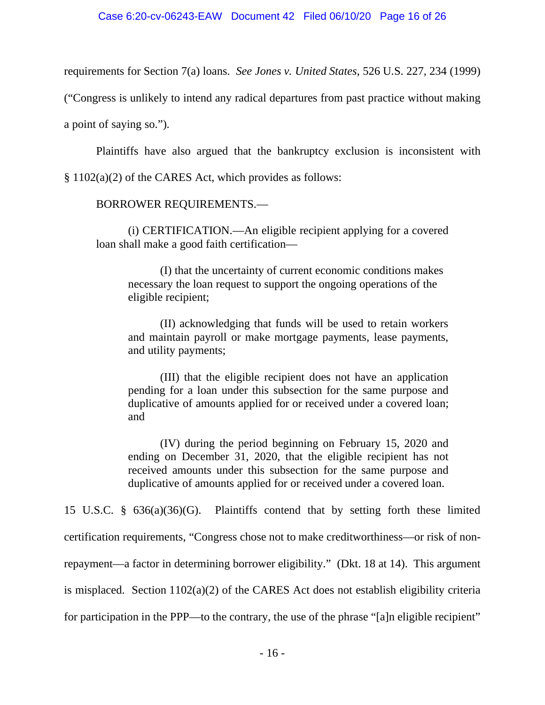#### Case 6:20-cv-06243-EAW Document 42 Filed 06/10/20 Page 16 of 26

requirements for Section 7(a) loans. *See Jones v. United States*, 526 U.S. 227, 234 (1999)

("Congress is unlikely to intend any radical departures from past practice without making

a point of saying so.").

Plaintiffs have also argued that the bankruptcy exclusion is inconsistent with

§ 1102(a)(2) of the CARES Act, which provides as follows:

# BORROWER REQUIREMENTS.—

(i) CERTIFICATION.—An eligible recipient applying for a covered loan shall make a good faith certification—

(I) that the uncertainty of current economic conditions makes necessary the loan request to support the ongoing operations of the eligible recipient;

(II) acknowledging that funds will be used to retain workers and maintain payroll or make mortgage payments, lease payments, and utility payments;

(III) that the eligible recipient does not have an application pending for a loan under this subsection for the same purpose and duplicative of amounts applied for or received under a covered loan; and

(IV) during the period beginning on February 15, 2020 and ending on December 31, 2020, that the eligible recipient has not received amounts under this subsection for the same purpose and duplicative of amounts applied for or received under a covered loan.

15 U.S.C. § 636(a)(36)(G). Plaintiffs contend that by setting forth these limited certification requirements, "Congress chose not to make creditworthiness—or risk of nonrepayment—a factor in determining borrower eligibility." (Dkt. 18 at 14). This argument is misplaced. Section 1102(a)(2) of the CARES Act does not establish eligibility criteria for participation in the PPP—to the contrary, the use of the phrase "[a]n eligible recipient"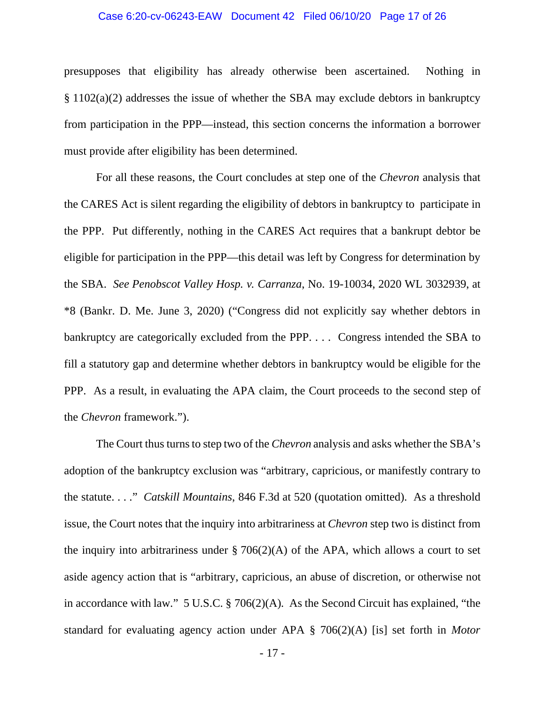# Case 6:20-cv-06243-EAW Document 42 Filed 06/10/20 Page 17 of 26

presupposes that eligibility has already otherwise been ascertained. Nothing in § 1102(a)(2) addresses the issue of whether the SBA may exclude debtors in bankruptcy from participation in the PPP—instead, this section concerns the information a borrower must provide after eligibility has been determined.

 For all these reasons, the Court concludes at step one of the *Chevron* analysis that the CARES Act is silent regarding the eligibility of debtors in bankruptcy to participate in the PPP. Put differently, nothing in the CARES Act requires that a bankrupt debtor be eligible for participation in the PPP—this detail was left by Congress for determination by the SBA. *See Penobscot Valley Hosp. v. Carranza*, No. 19-10034, 2020 WL 3032939, at \*8 (Bankr. D. Me. June 3, 2020) ("Congress did not explicitly say whether debtors in bankruptcy are categorically excluded from the PPP. . . . Congress intended the SBA to fill a statutory gap and determine whether debtors in bankruptcy would be eligible for the PPP. As a result, in evaluating the APA claim, the Court proceeds to the second step of the *Chevron* framework.").

 The Court thus turns to step two of the *Chevron* analysis and asks whether the SBA's adoption of the bankruptcy exclusion was "arbitrary, capricious, or manifestly contrary to the statute. . . ." *Catskill Mountains*, 846 F.3d at 520 (quotation omitted). As a threshold issue, the Court notes that the inquiry into arbitrariness at *Chevron* step two is distinct from the inquiry into arbitrariness under  $\S 706(2)(A)$  of the APA, which allows a court to set aside agency action that is "arbitrary, capricious, an abuse of discretion, or otherwise not in accordance with law." 5 U.S.C. § 706(2)(A). As the Second Circuit has explained, "the standard for evaluating agency action under APA § 706(2)(A) [is] set forth in *Motor*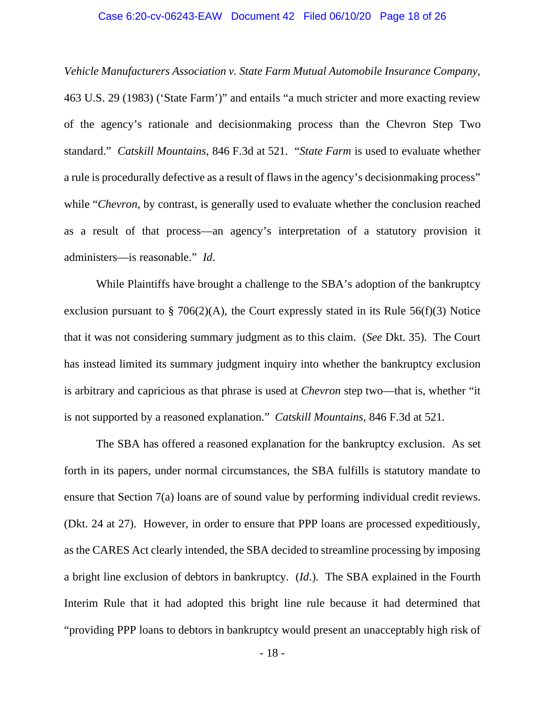# Case 6:20-cv-06243-EAW Document 42 Filed 06/10/20 Page 18 of 26

*Vehicle Manufacturers Association v. State Farm Mutual Automobile Insurance Company*, 463 U.S. 29 (1983) ('State Farm')" and entails "a much stricter and more exacting review of the agency's rationale and decisionmaking process than the Chevron Step Two standard." *Catskill Mountains*, 846 F.3d at 521. "*State Farm* is used to evaluate whether a rule is procedurally defective as a result of flaws in the agency's decisionmaking process" while "*Chevron*, by contrast, is generally used to evaluate whether the conclusion reached as a result of that process—an agency's interpretation of a statutory provision it administers—is reasonable." *Id*.

While Plaintiffs have brought a challenge to the SBA's adoption of the bankruptcy exclusion pursuant to  $\S$  706(2)(A), the Court expressly stated in its Rule 56(f)(3) Notice that it was not considering summary judgment as to this claim. (*See* Dkt. 35). The Court has instead limited its summary judgment inquiry into whether the bankruptcy exclusion is arbitrary and capricious as that phrase is used at *Chevron* step two—that is, whether "it is not supported by a reasoned explanation." *Catskill Mountains*, 846 F.3d at 521.

 The SBA has offered a reasoned explanation for the bankruptcy exclusion. As set forth in its papers, under normal circumstances, the SBA fulfills is statutory mandate to ensure that Section 7(a) loans are of sound value by performing individual credit reviews. (Dkt. 24 at 27). However, in order to ensure that PPP loans are processed expeditiously, as the CARES Act clearly intended, the SBA decided to streamline processing by imposing a bright line exclusion of debtors in bankruptcy. (*Id*.). The SBA explained in the Fourth Interim Rule that it had adopted this bright line rule because it had determined that "providing PPP loans to debtors in bankruptcy would present an unacceptably high risk of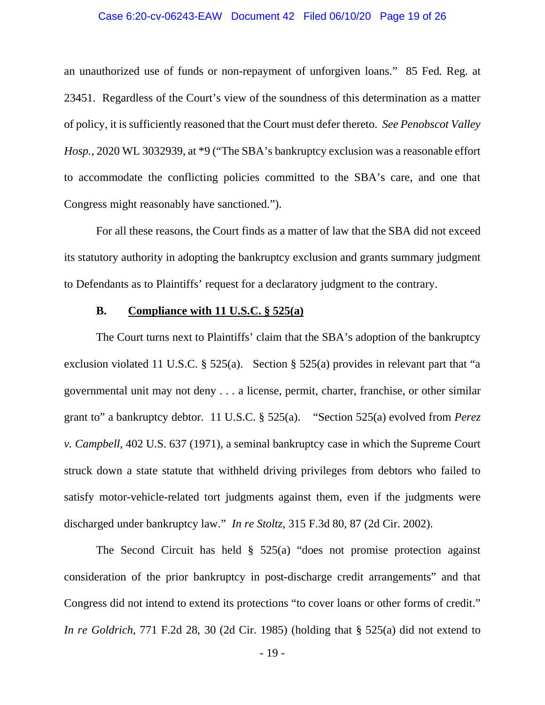# Case 6:20-cv-06243-EAW Document 42 Filed 06/10/20 Page 19 of 26

an unauthorized use of funds or non-repayment of unforgiven loans." 85 Fed. Reg. at 23451. Regardless of the Court's view of the soundness of this determination as a matter of policy, it is sufficiently reasoned that the Court must defer thereto. *See Penobscot Valley Hosp.*, 2020 WL 3032939, at \*9 ("The SBA's bankruptcy exclusion was a reasonable effort to accommodate the conflicting policies committed to the SBA's care, and one that Congress might reasonably have sanctioned.").

 For all these reasons, the Court finds as a matter of law that the SBA did not exceed its statutory authority in adopting the bankruptcy exclusion and grants summary judgment to Defendants as to Plaintiffs' request for a declaratory judgment to the contrary.

# **B. Compliance with 11 U.S.C. § 525(a)**

 The Court turns next to Plaintiffs' claim that the SBA's adoption of the bankruptcy exclusion violated 11 U.S.C. § 525(a). Section § 525(a) provides in relevant part that "a governmental unit may not deny . . . a license, permit, charter, franchise, or other similar grant to" a bankruptcy debtor. 11 U.S.C. § 525(a). "Section 525(a) evolved from *Perez v. Campbell*, 402 U.S. 637 (1971), a seminal bankruptcy case in which the Supreme Court struck down a state statute that withheld driving privileges from debtors who failed to satisfy motor-vehicle-related tort judgments against them, even if the judgments were discharged under bankruptcy law." *In re Stoltz*, 315 F.3d 80, 87 (2d Cir. 2002).

The Second Circuit has held  $\S$  525(a) "does not promise protection against consideration of the prior bankruptcy in post-discharge credit arrangements" and that Congress did not intend to extend its protections "to cover loans or other forms of credit." *In re Goldrich*, 771 F.2d 28, 30 (2d Cir. 1985) (holding that § 525(a) did not extend to

- 19 -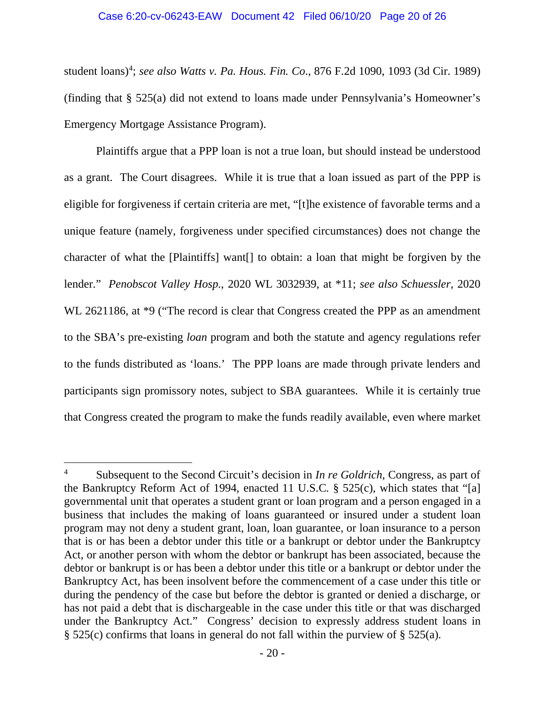#### Case 6:20-cv-06243-EAW Document 42 Filed 06/10/20 Page 20 of 26

student loans)<sup>4</sup>; *see also Watts v. Pa. Hous. Fin. Co.*, 876 F.2d 1090, 1093 (3d Cir. 1989) (finding that § 525(a) did not extend to loans made under Pennsylvania's Homeowner's Emergency Mortgage Assistance Program).

 Plaintiffs argue that a PPP loan is not a true loan, but should instead be understood as a grant. The Court disagrees. While it is true that a loan issued as part of the PPP is eligible for forgiveness if certain criteria are met, "[t]he existence of favorable terms and a unique feature (namely, forgiveness under specified circumstances) does not change the character of what the [Plaintiffs] want[] to obtain: a loan that might be forgiven by the lender." *Penobscot Valley Hosp.*, 2020 WL 3032939, at \*11; *see also Schuessler*, 2020 WL 2621186, at  $*9$  ("The record is clear that Congress created the PPP as an amendment to the SBA's pre-existing *loan* program and both the statute and agency regulations refer to the funds distributed as 'loans.' The PPP loans are made through private lenders and participants sign promissory notes, subject to SBA guarantees. While it is certainly true that Congress created the program to make the funds readily available, even where market

<sup>4</sup> Subsequent to the Second Circuit's decision in *In re Goldrich*, Congress, as part of the Bankruptcy Reform Act of 1994, enacted 11 U.S.C. § 525(c), which states that "[a] governmental unit that operates a student grant or loan program and a person engaged in a business that includes the making of loans guaranteed or insured under a student loan program may not deny a student grant, loan, loan guarantee, or loan insurance to a person that is or has been a debtor under this title or a bankrupt or debtor under the Bankruptcy Act, or another person with whom the debtor or bankrupt has been associated, because the debtor or bankrupt is or has been a debtor under this title or a bankrupt or debtor under the Bankruptcy Act, has been insolvent before the commencement of a case under this title or during the pendency of the case but before the debtor is granted or denied a discharge, or has not paid a debt that is dischargeable in the case under this title or that was discharged under the Bankruptcy Act." Congress' decision to expressly address student loans in § 525(c) confirms that loans in general do not fall within the purview of § 525(a).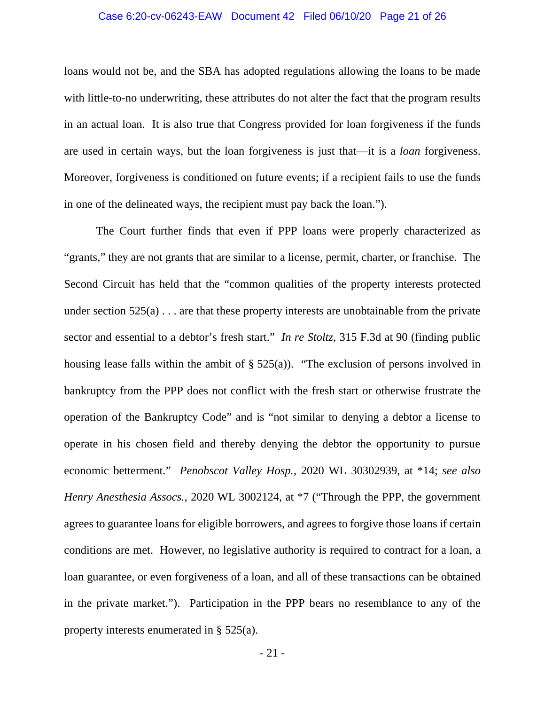# Case 6:20-cv-06243-EAW Document 42 Filed 06/10/20 Page 21 of 26

loans would not be, and the SBA has adopted regulations allowing the loans to be made with little-to-no underwriting, these attributes do not alter the fact that the program results in an actual loan. It is also true that Congress provided for loan forgiveness if the funds are used in certain ways, but the loan forgiveness is just that—it is a *loan* forgiveness. Moreover, forgiveness is conditioned on future events; if a recipient fails to use the funds in one of the delineated ways, the recipient must pay back the loan.").

 The Court further finds that even if PPP loans were properly characterized as "grants," they are not grants that are similar to a license, permit, charter, or franchise. The Second Circuit has held that the "common qualities of the property interests protected under section  $525(a)$ ... are that these property interests are unobtainable from the private sector and essential to a debtor's fresh start." *In re Stoltz*, 315 F.3d at 90 (finding public housing lease falls within the ambit of  $\S$  525(a)). "The exclusion of persons involved in bankruptcy from the PPP does not conflict with the fresh start or otherwise frustrate the operation of the Bankruptcy Code" and is "not similar to denying a debtor a license to operate in his chosen field and thereby denying the debtor the opportunity to pursue economic betterment." *Penobscot Valley Hosp.*, 2020 WL 30302939, at \*14; *see also Henry Anesthesia Assocs.*, 2020 WL 3002124, at \*7 ("Through the PPP, the government agrees to guarantee loans for eligible borrowers, and agrees to forgive those loans if certain conditions are met. However, no legislative authority is required to contract for a loan, a loan guarantee, or even forgiveness of a loan, and all of these transactions can be obtained in the private market."). Participation in the PPP bears no resemblance to any of the property interests enumerated in § 525(a).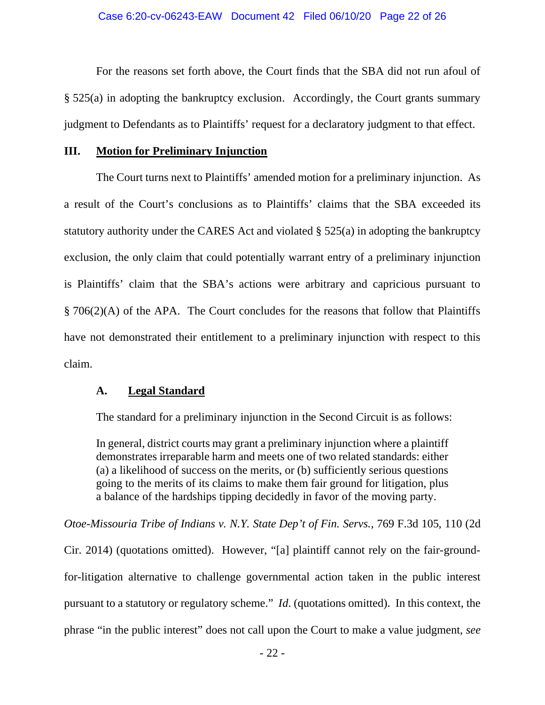For the reasons set forth above, the Court finds that the SBA did not run afoul of § 525(a) in adopting the bankruptcy exclusion. Accordingly, the Court grants summary judgment to Defendants as to Plaintiffs' request for a declaratory judgment to that effect.

# **III. Motion for Preliminary Injunction**

 The Court turns next to Plaintiffs' amended motion for a preliminary injunction. As a result of the Court's conclusions as to Plaintiffs' claims that the SBA exceeded its statutory authority under the CARES Act and violated § 525(a) in adopting the bankruptcy exclusion, the only claim that could potentially warrant entry of a preliminary injunction is Plaintiffs' claim that the SBA's actions were arbitrary and capricious pursuant to § 706(2)(A) of the APA. The Court concludes for the reasons that follow that Plaintiffs have not demonstrated their entitlement to a preliminary injunction with respect to this claim.

# **A. Legal Standard**

The standard for a preliminary injunction in the Second Circuit is as follows:

In general, district courts may grant a preliminary injunction where a plaintiff demonstrates irreparable harm and meets one of two related standards: either (a) a likelihood of success on the merits, or (b) sufficiently serious questions going to the merits of its claims to make them fair ground for litigation, plus a balance of the hardships tipping decidedly in favor of the moving party.

*Otoe-Missouria Tribe of Indians v. N.Y. State Dep't of Fin. Servs.*, 769 F.3d 105, 110 (2d Cir. 2014) (quotations omitted). However, "[a] plaintiff cannot rely on the fair-groundfor-litigation alternative to challenge governmental action taken in the public interest pursuant to a statutory or regulatory scheme." *Id*. (quotations omitted). In this context, the phrase "in the public interest" does not call upon the Court to make a value judgment, *see*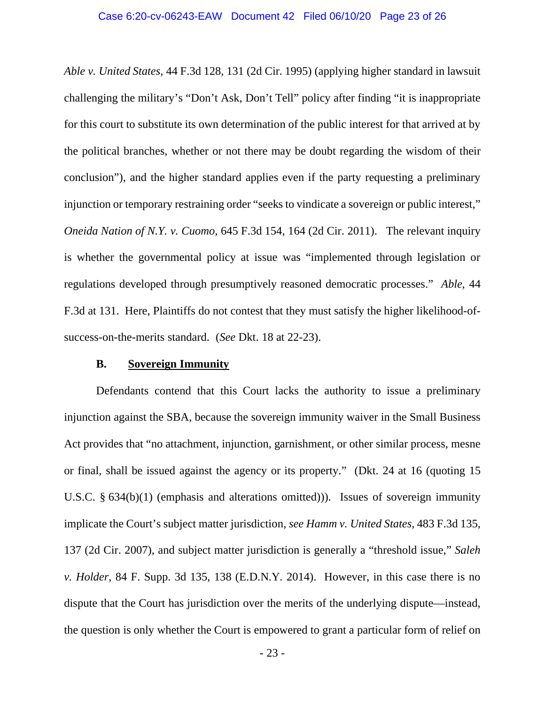*Able v. United States*, 44 F.3d 128, 131 (2d Cir. 1995) (applying higher standard in lawsuit challenging the military's "Don't Ask, Don't Tell" policy after finding "it is inappropriate for this court to substitute its own determination of the public interest for that arrived at by the political branches, whether or not there may be doubt regarding the wisdom of their conclusion"), and the higher standard applies even if the party requesting a preliminary injunction or temporary restraining order "seeks to vindicate a sovereign or public interest," *Oneida Nation of N.Y. v. Cuomo*, 645 F.3d 154, 164 (2d Cir. 2011). The relevant inquiry is whether the governmental policy at issue was "implemented through legislation or regulations developed through presumptively reasoned democratic processes." *Able*, 44 F.3d at 131. Here, Plaintiffs do not contest that they must satisfy the higher likelihood-ofsuccess-on-the-merits standard. (*See* Dkt. 18 at 22-23).

# **B. Sovereign Immunity**

 Defendants contend that this Court lacks the authority to issue a preliminary injunction against the SBA, because the sovereign immunity waiver in the Small Business Act provides that "no attachment, injunction, garnishment, or other similar process, mesne or final, shall be issued against the agency or its property." (Dkt. 24 at 16 (quoting 15 U.S.C. § 634(b)(1) (emphasis and alterations omitted))). Issues of sovereign immunity implicate the Court's subject matter jurisdiction, *see Hamm v. United States*, 483 F.3d 135, 137 (2d Cir. 2007), and subject matter jurisdiction is generally a "threshold issue," *Saleh v. Holder*, 84 F. Supp. 3d 135, 138 (E.D.N.Y. 2014). However, in this case there is no dispute that the Court has jurisdiction over the merits of the underlying dispute—instead, the question is only whether the Court is empowered to grant a particular form of relief on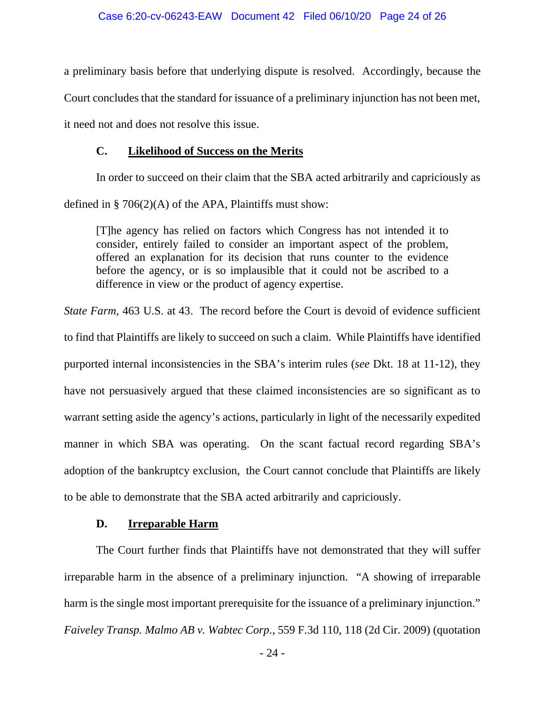a preliminary basis before that underlying dispute is resolved. Accordingly, because the Court concludes that the standard for issuance of a preliminary injunction has not been met, it need not and does not resolve this issue.

# **C. Likelihood of Success on the Merits**

In order to succeed on their claim that the SBA acted arbitrarily and capriciously as

defined in  $\S 706(2)(A)$  of the APA, Plaintiffs must show:

[T]he agency has relied on factors which Congress has not intended it to consider, entirely failed to consider an important aspect of the problem, offered an explanation for its decision that runs counter to the evidence before the agency, or is so implausible that it could not be ascribed to a difference in view or the product of agency expertise.

*State Farm*, 463 U.S. at 43. The record before the Court is devoid of evidence sufficient to find that Plaintiffs are likely to succeed on such a claim. While Plaintiffs have identified purported internal inconsistencies in the SBA's interim rules (*see* Dkt. 18 at 11-12), they have not persuasively argued that these claimed inconsistencies are so significant as to warrant setting aside the agency's actions, particularly in light of the necessarily expedited manner in which SBA was operating. On the scant factual record regarding SBA's adoption of the bankruptcy exclusion, the Court cannot conclude that Plaintiffs are likely to be able to demonstrate that the SBA acted arbitrarily and capriciously.

# **D. Irreparable Harm**

The Court further finds that Plaintiffs have not demonstrated that they will suffer irreparable harm in the absence of a preliminary injunction. "A showing of irreparable harm is the single most important prerequisite for the issuance of a preliminary injunction." *Faiveley Transp. Malmo AB v. Wabtec Corp*., 559 F.3d 110, 118 (2d Cir. 2009) (quotation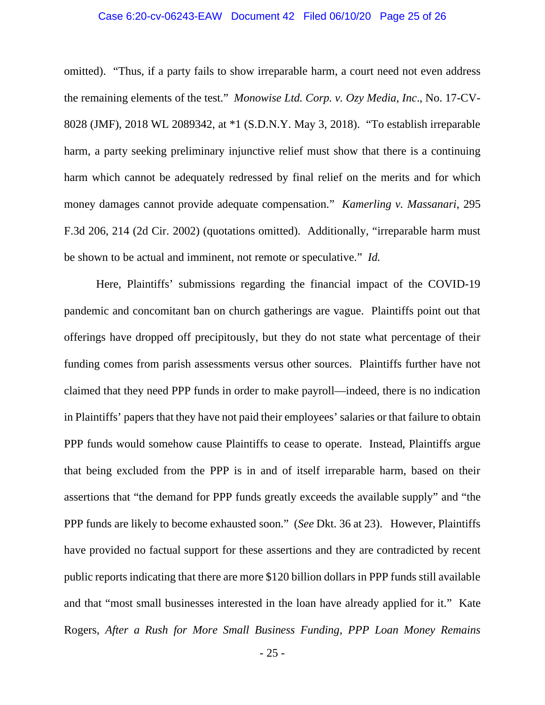# Case 6:20-cv-06243-EAW Document 42 Filed 06/10/20 Page 25 of 26

omitted). "Thus, if a party fails to show irreparable harm, a court need not even address the remaining elements of the test." *Monowise Ltd. Corp. v. Ozy Media, Inc*., No. 17-CV-8028 (JMF), 2018 WL 2089342, at \*1 (S.D.N.Y. May 3, 2018). "To establish irreparable harm, a party seeking preliminary injunctive relief must show that there is a continuing harm which cannot be adequately redressed by final relief on the merits and for which money damages cannot provide adequate compensation." *Kamerling v. Massanari*, 295 F.3d 206, 214 (2d Cir. 2002) (quotations omitted). Additionally, "irreparable harm must be shown to be actual and imminent, not remote or speculative." *Id.*

Here, Plaintiffs' submissions regarding the financial impact of the COVID-19 pandemic and concomitant ban on church gatherings are vague. Plaintiffs point out that offerings have dropped off precipitously, but they do not state what percentage of their funding comes from parish assessments versus other sources. Plaintiffs further have not claimed that they need PPP funds in order to make payroll—indeed, there is no indication in Plaintiffs' papers that they have not paid their employees' salaries or that failure to obtain PPP funds would somehow cause Plaintiffs to cease to operate. Instead, Plaintiffs argue that being excluded from the PPP is in and of itself irreparable harm, based on their assertions that "the demand for PPP funds greatly exceeds the available supply" and "the PPP funds are likely to become exhausted soon." (*See* Dkt. 36 at 23). However, Plaintiffs have provided no factual support for these assertions and they are contradicted by recent public reports indicating that there are more \$120 billion dollars in PPP funds still available and that "most small businesses interested in the loan have already applied for it." Kate Rogers, *After a Rush for More Small Business Funding, PPP Loan Money Remains*